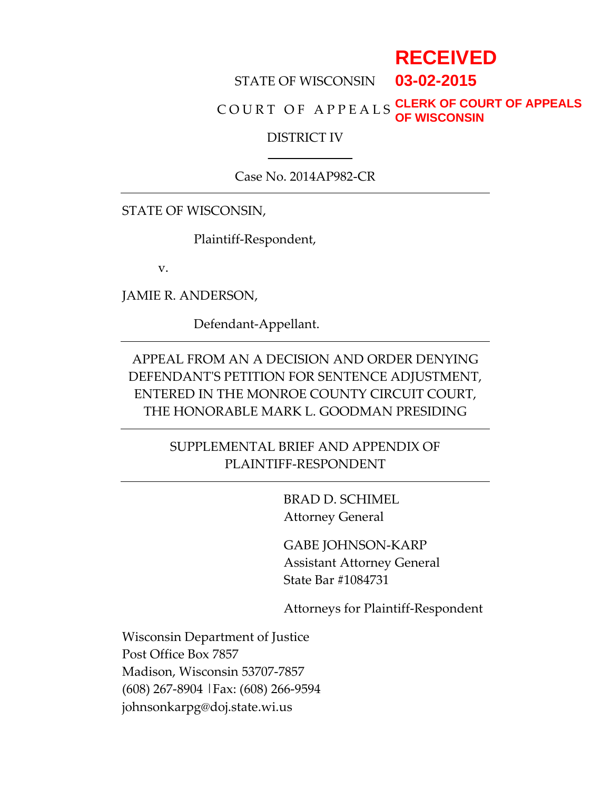# **RECEIVED**

#### STATE OF WISCONSIN **03-02-2015**

#### COURT OF APPEALS **CLERK OF COURT OF APPEALS OF WISCONSIN**

#### DISTRICT IV

Case No. 2014AP982-CR

STATE OF WISCONSIN,

Plaintiff-Respondent,

v.

JAMIE R. ANDERSON,

Defendant-Appellant.

APPEAL FROM AN A DECISION AND ORDER DENYING DEFENDANT'S PETITION FOR SENTENCE ADJUSTMENT, ENTERED IN THE MONROE COUNTY CIRCUIT COURT, THE HONORABLE MARK L. GOODMAN PRESIDING

> SUPPLEMENTAL BRIEF AND APPENDIX OF PLAINTIFF-RESPONDENT

> > BRAD D. SCHIMEL Attorney General

GABE JOHNSON-KARP Assistant Attorney General State Bar #1084731

Attorneys for Plaintiff-Respondent

Wisconsin Department of Justice Post Office Box 7857 Madison, Wisconsin 53707-7857 (608) 267-8904 |Fax: (608) 266-9594 johnsonkarpg@doj.state.wi.us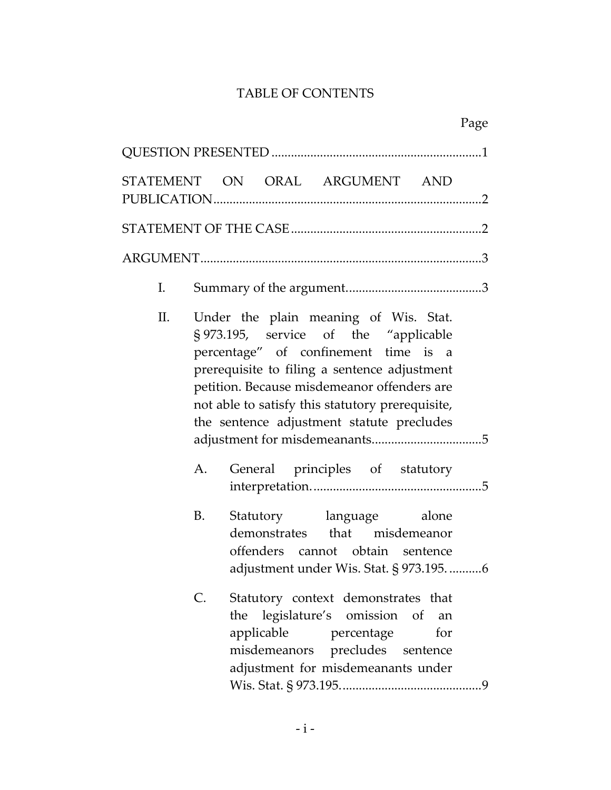# TABLE OF CONTENTS

|    | STATEMENT ON ORAL ARGUMENT AND                                                                                                                                                                                                                                                                                                                                  |           |
|----|-----------------------------------------------------------------------------------------------------------------------------------------------------------------------------------------------------------------------------------------------------------------------------------------------------------------------------------------------------------------|-----------|
|    |                                                                                                                                                                                                                                                                                                                                                                 |           |
|    |                                                                                                                                                                                                                                                                                                                                                                 |           |
| Ι. |                                                                                                                                                                                                                                                                                                                                                                 |           |
| П. | Under the plain meaning of Wis. Stat.<br>§ 973.195, service of the "applicable<br>percentage" of confinement time is a<br>prerequisite to filing a sentence adjustment<br>petition. Because misdemeanor offenders are<br>not able to satisfy this statutory prerequisite,<br>the sentence adjustment statute precludes<br>General principles of statutory<br>A. |           |
|    | B.<br>Statutory language alone<br>demonstrates that misdemeanor<br>offenders cannot obtain sentence<br>adjustment under Wis. Stat. § 973.1956                                                                                                                                                                                                                   |           |
|    | Statutory context demonstrates that<br>C.<br>legislature's omission of<br>the<br>applicable<br>percentage<br>misdemeanors precludes sentence<br>adjustment for misdemeanants under                                                                                                                                                                              | an<br>for |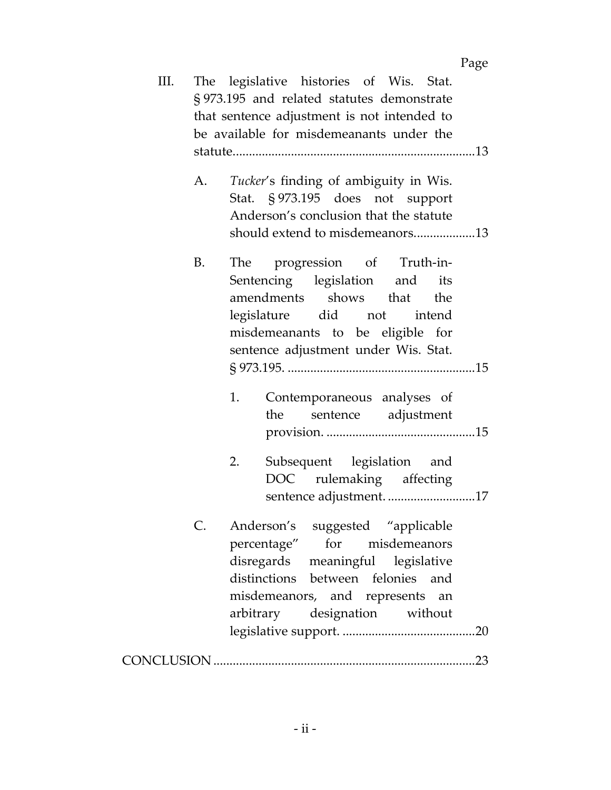| Ш. |    | The legislative histories of Wis. Stat.                                    |
|----|----|----------------------------------------------------------------------------|
|    |    | § 973.195 and related statutes demonstrate                                 |
|    |    | that sentence adjustment is not intended to                                |
|    |    | be available for misdemeanants under the                                   |
|    |    |                                                                            |
|    |    |                                                                            |
|    | A. | Tucker's finding of ambiguity in Wis.                                      |
|    |    | Stat. § 973.195 does not support<br>Anderson's conclusion that the statute |
|    |    |                                                                            |
|    |    | should extend to misdemeanors13                                            |
|    | B. | The progression of Truth-in-                                               |
|    |    | Sentencing legislation and<br>its                                          |
|    |    | amendments shows that the                                                  |
|    |    | legislature did not intend                                                 |
|    |    | misdemeanants to be eligible for                                           |
|    |    | sentence adjustment under Wis. Stat.                                       |
|    |    |                                                                            |
|    |    |                                                                            |
|    |    | Contemporaneous analyses of<br>1.                                          |
|    |    | sentence adjustment<br>the                                                 |
|    |    |                                                                            |
|    |    | Subsequent legislation and<br>2.                                           |
|    |    | DOC rulemaking affecting                                                   |
|    |    | sentence adjustment17                                                      |
|    |    |                                                                            |
|    |    | Anderson's suggested "applicable                                           |
|    |    | for misdemeanors<br>percentage"                                            |
|    |    | disregards meaningful legislative                                          |
|    |    | distinctions between felonies and                                          |
|    |    | misdemeanors, and represents an                                            |
|    |    | arbitrary designation without                                              |
|    |    |                                                                            |
|    |    |                                                                            |
|    |    |                                                                            |

Page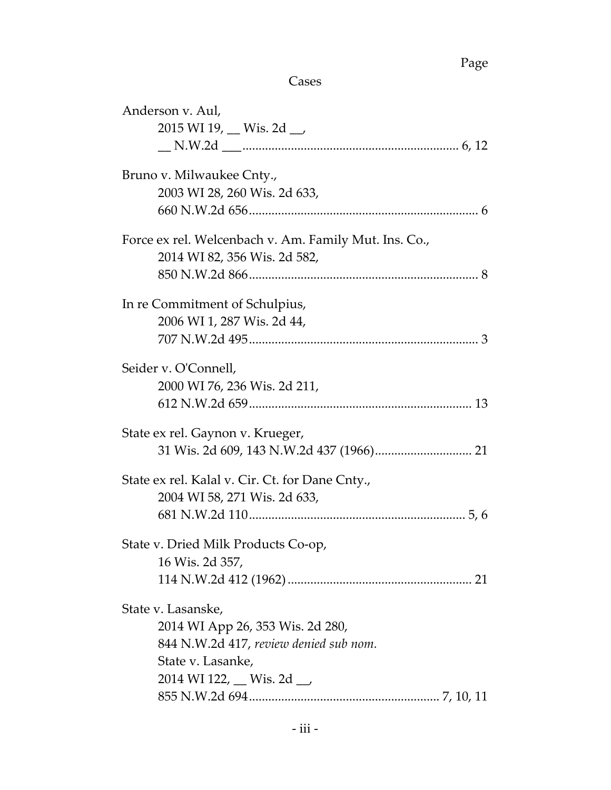Page

Cases

| Anderson v. Aul,<br>2015 WI 19, Wis. 2d __                                                                                                                  |
|-------------------------------------------------------------------------------------------------------------------------------------------------------------|
| Bruno v. Milwaukee Cnty.,<br>2003 WI 28, 260 Wis. 2d 633,                                                                                                   |
| Force ex rel. Welcenbach v. Am. Family Mut. Ins. Co.,<br>2014 WI 82, 356 Wis. 2d 582,                                                                       |
| In re Commitment of Schulpius,<br>2006 WI 1, 287 Wis. 2d 44,                                                                                                |
| Seider v. O'Connell,<br>2000 WI 76, 236 Wis. 2d 211,                                                                                                        |
| State ex rel. Gaynon v. Krueger,                                                                                                                            |
| State ex rel. Kalal v. Cir. Ct. for Dane Cnty.,<br>2004 WI 58, 271 Wis. 2d 633,                                                                             |
| State v. Dried Milk Products Co-op,<br>16 Wis. 2d 357,                                                                                                      |
| State v. Lasanske,<br>2014 WI App 26, 353 Wis. 2d 280,<br>844 N.W.2d 417, review denied sub nom.<br>State v. Lasanke,<br>2014 WI 122, $\_\_$ Wis. 2d $\_\_$ |
|                                                                                                                                                             |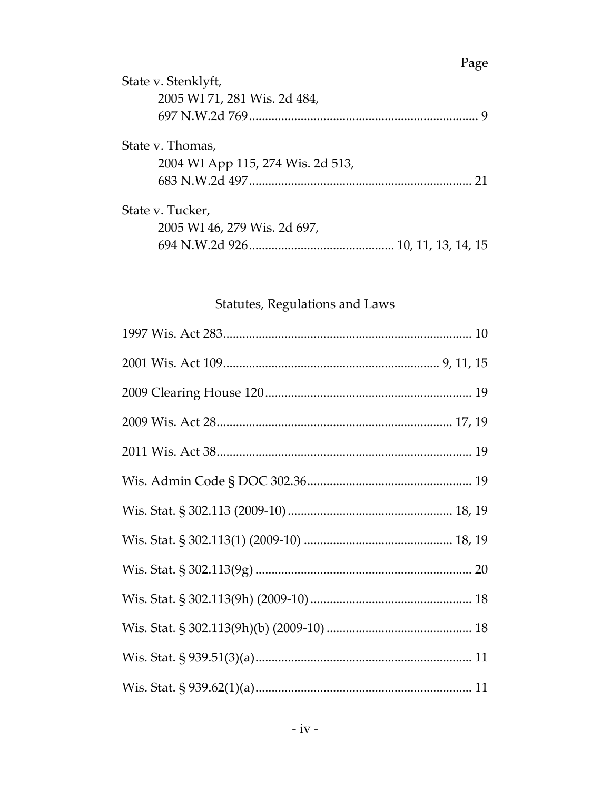# State v. Stenklyft, 2005 WI 71, 281 Wis. 2d 484, State v. Thomas, 2004 WI App 115, 274 Wis. 2d 513, State v. Tucker, 2005 WI 46, 279 Wis. 2d 697,

### Statutes, Regulations and Laws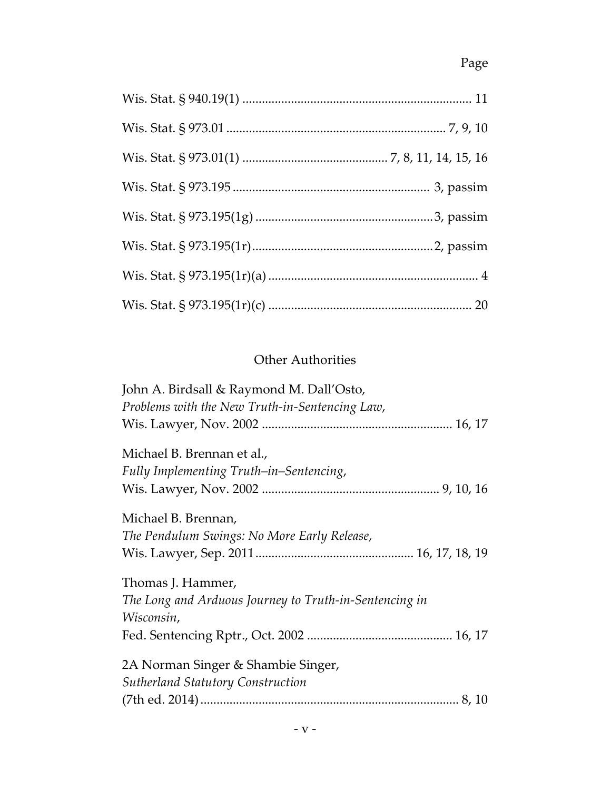# Page

# Other Authorities

| John A. Birdsall & Raymond M. Dall'Osto,               |
|--------------------------------------------------------|
| Problems with the New Truth-in-Sentencing Law,         |
|                                                        |
| Michael B. Brennan et al.,                             |
| Fully Implementing Truth–in–Sentencing,                |
|                                                        |
|                                                        |
| Michael B. Brennan,                                    |
| The Pendulum Swings: No More Early Release,            |
|                                                        |
| Thomas J. Hammer,                                      |
| The Long and Arduous Journey to Truth-in-Sentencing in |
| Wisconsin,                                             |
|                                                        |
|                                                        |
| 2A Norman Singer & Shambie Singer,                     |
| <b>Sutherland Statutory Construction</b>               |
|                                                        |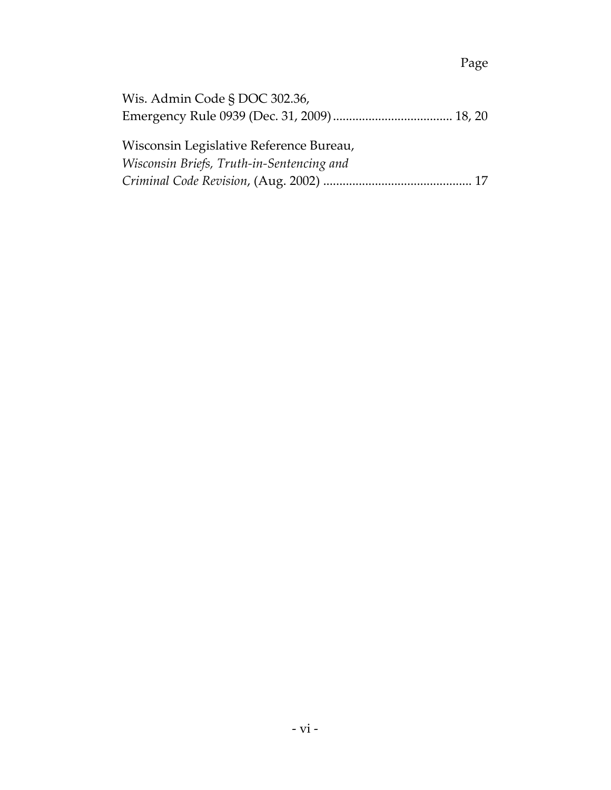# Page

| Wis. Admin Code § DOC 302.36,             |  |
|-------------------------------------------|--|
|                                           |  |
|                                           |  |
| Wisconsin Legislative Reference Bureau,   |  |
| Wisconsin Briefs, Truth-in-Sentencing and |  |
|                                           |  |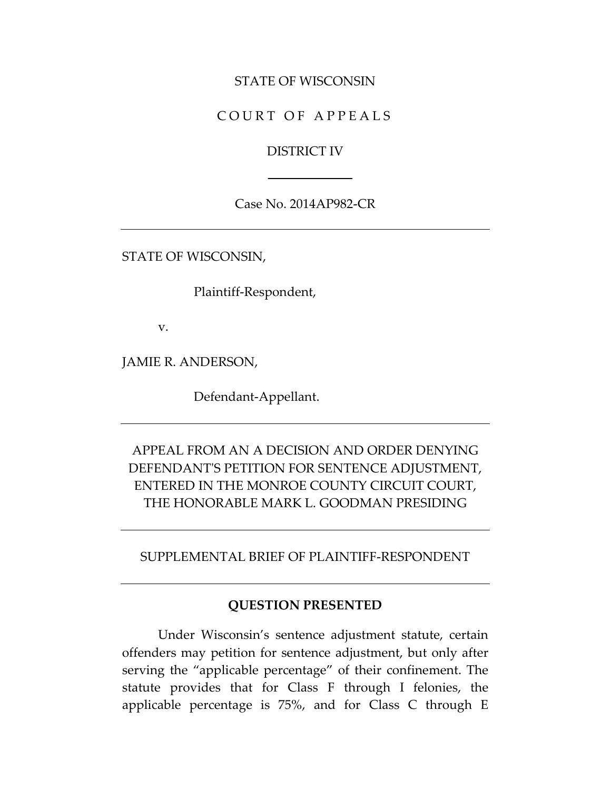#### STATE OF WISCONSIN

## C OURT OF APPEALS

#### DISTRICT IV

Case No. 2014AP982-CR

STATE OF WISCONSIN,

Plaintiff-Respondent,

v.

JAMIE R. ANDERSON,

Defendant-Appellant.

# APPEAL FROM AN A DECISION AND ORDER DENYING DEFENDANT'S PETITION FOR SENTENCE ADJUSTMENT, ENTERED IN THE MONROE COUNTY CIRCUIT COURT, THE HONORABLE MARK L. GOODMAN PRESIDING

SUPPLEMENTAL BRIEF OF PLAINTIFF-RESPONDENT

#### **QUESTION PRESENTED**

Under Wisconsin's sentence adjustment statute, certain offenders may petition for sentence adjustment, but only after serving the "applicable percentage" of their confinement. The statute provides that for Class F through I felonies, the applicable percentage is 75%, and for Class C through E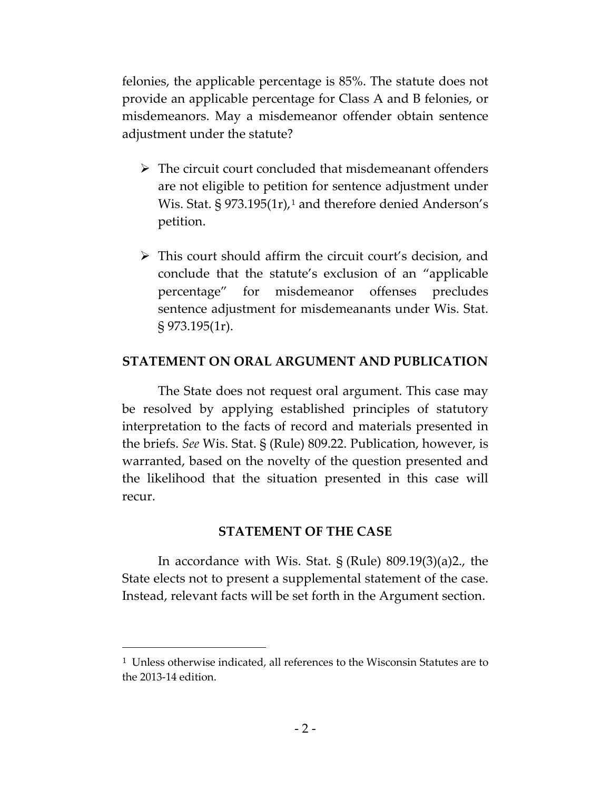felonies, the applicable percentage is 85%. The statute does not provide an applicable percentage for Class A and B felonies, or misdemeanors. May a misdemeanor offender obtain sentence adjustment under the statute?

- $\triangleright$  The circuit court concluded that misdemeanant offenders are not eligible to petition for sentence adjustment under Wis. Stat.  $\S 973.195(1r), 1$  $\S 973.195(1r), 1$  $\S 973.195(1r), 1$  and therefore denied Anderson's petition.
- This court should affirm the circuit court's decision, and conclude that the statute's exclusion of an "applicable percentage" for misdemeanor offenses precludes sentence adjustment for misdemeanants under Wis. Stat. § 973.195(1r).

#### **STATEMENT ON ORAL ARGUMENT AND PUBLICATION**

The State does not request oral argument. This case may be resolved by applying established principles of statutory interpretation to the facts of record and materials presented in the briefs. *See* Wis. Stat. § (Rule) 809.22. Publication, however, is warranted, based on the novelty of the question presented and the likelihood that the situation presented in this case will recur.

### **STATEMENT OF THE CASE**

In accordance with Wis. Stat. § (Rule) 809.19(3)(a)2., the State elects not to present a supplemental statement of the case. Instead, relevant facts will be set forth in the Argument section.

 $\overline{a}$ 

<span id="page-8-0"></span><sup>&</sup>lt;sup>1</sup> Unless otherwise indicated, all references to the Wisconsin Statutes are to the 2013-14 edition.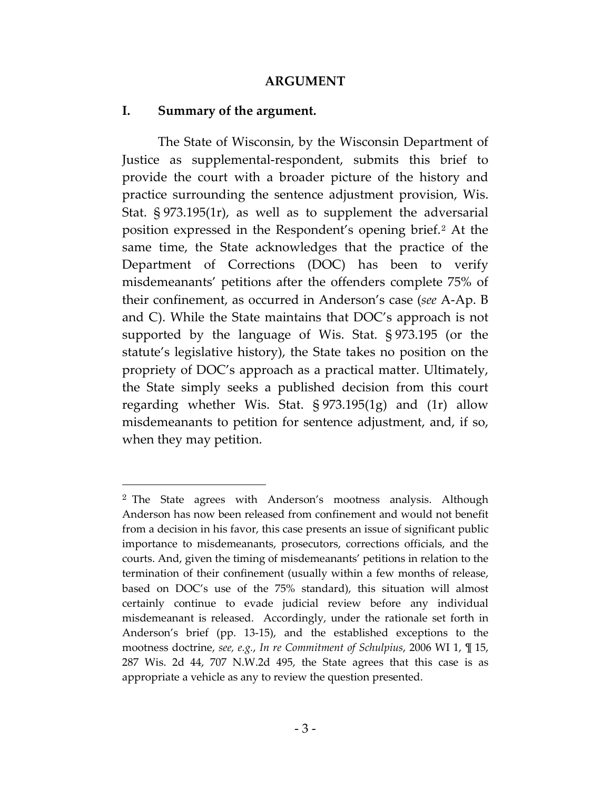#### **ARGUMENT**

#### **I. Summary of the argument.**

 $\overline{a}$ 

The State of Wisconsin, by the Wisconsin Department of Justice as supplemental-respondent, submits this brief to provide the court with a broader picture of the history and practice surrounding the sentence adjustment provision, Wis. Stat. § 973.195(1r), as well as to supplement the adversarial position expressed in the Respondent's opening brief.[2](#page-9-0) At the same time, the State acknowledges that the practice of the Department of Corrections (DOC) has been to verify misdemeanants' petitions after the offenders complete 75% of their confinement, as occurred in Anderson's case (*see* A-Ap. B and C). While the State maintains that DOC's approach is not supported by the language of Wis. Stat. § 973.195 (or the statute's legislative history), the State takes no position on the propriety of DOC's approach as a practical matter. Ultimately, the State simply seeks a published decision from this court regarding whether Wis. Stat. § 973.195(1g) and (1r) allow misdemeanants to petition for sentence adjustment, and, if so, when they may petition.

<span id="page-9-0"></span><sup>&</sup>lt;sup>2</sup> The State agrees with Anderson's mootness analysis. Although Anderson has now been released from confinement and would not benefit from a decision in his favor, this case presents an issue of significant public importance to misdemeanants, prosecutors, corrections officials, and the courts. And, given the timing of misdemeanants' petitions in relation to the termination of their confinement (usually within a few months of release, based on DOC's use of the 75% standard), this situation will almost certainly continue to evade judicial review before any individual misdemeanant is released. Accordingly, under the rationale set forth in Anderson's brief (pp. 13-15), and the established exceptions to the mootness doctrine, *see, e.g.*, *In re Commitment of Schulpius*, 2006 WI 1, ¶ 15, 287 Wis. 2d 44, 707 N.W.2d 495, the State agrees that this case is as appropriate a vehicle as any to review the question presented.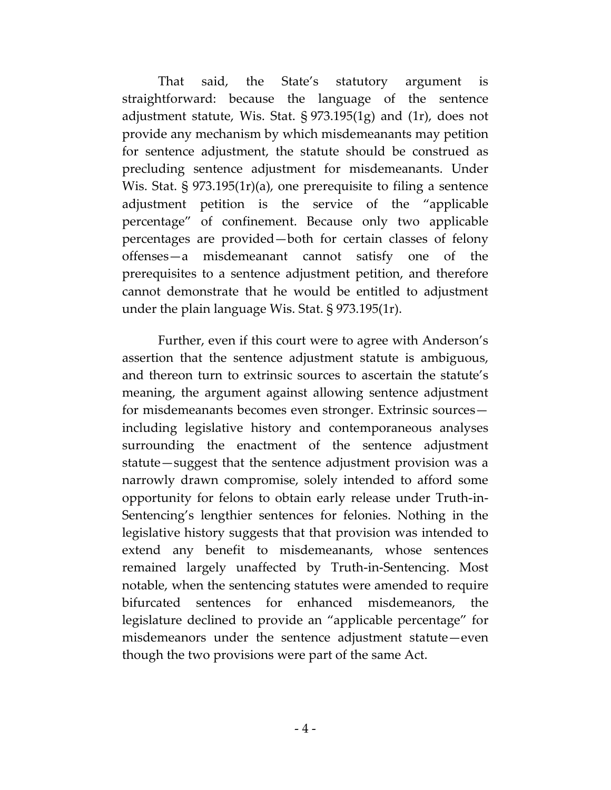That said, the State's statutory argument is straightforward: because the language of the sentence adjustment statute, Wis. Stat. § 973.195(1g) and (1r), does not provide any mechanism by which misdemeanants may petition for sentence adjustment, the statute should be construed as precluding sentence adjustment for misdemeanants. Under Wis. Stat. § 973.195(1r)(a), one prerequisite to filing a sentence adjustment petition is the service of the "applicable percentage" of confinement. Because only two applicable percentages are provided—both for certain classes of felony offenses—a misdemeanant cannot satisfy one of the prerequisites to a sentence adjustment petition, and therefore cannot demonstrate that he would be entitled to adjustment under the plain language Wis. Stat. § 973.195(1r).

Further, even if this court were to agree with Anderson's assertion that the sentence adjustment statute is ambiguous, and thereon turn to extrinsic sources to ascertain the statute's meaning, the argument against allowing sentence adjustment for misdemeanants becomes even stronger. Extrinsic sources including legislative history and contemporaneous analyses surrounding the enactment of the sentence adjustment statute—suggest that the sentence adjustment provision was a narrowly drawn compromise, solely intended to afford some opportunity for felons to obtain early release under Truth-in-Sentencing's lengthier sentences for felonies. Nothing in the legislative history suggests that that provision was intended to extend any benefit to misdemeanants, whose sentences remained largely unaffected by Truth-in-Sentencing. Most notable, when the sentencing statutes were amended to require bifurcated sentences for enhanced misdemeanors, the legislature declined to provide an "applicable percentage" for misdemeanors under the sentence adjustment statute—even though the two provisions were part of the same Act.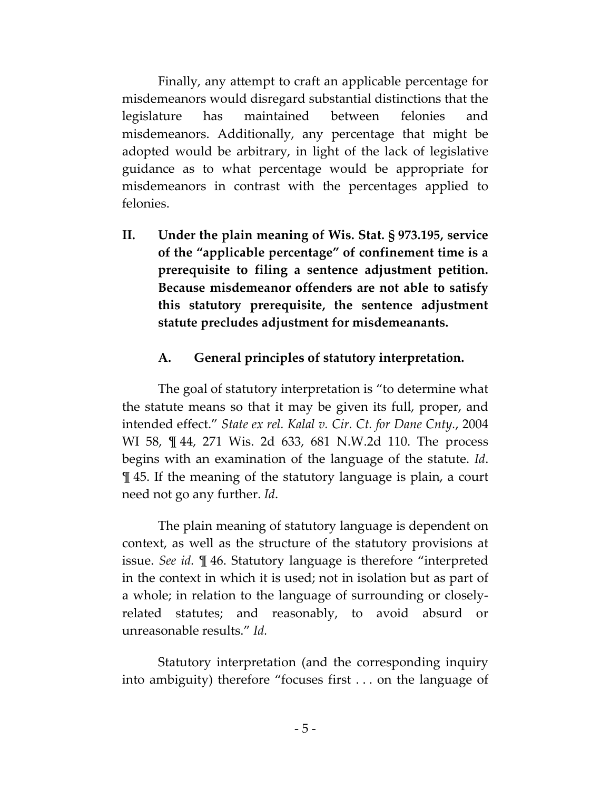Finally, any attempt to craft an applicable percentage for misdemeanors would disregard substantial distinctions that the legislature has maintained between felonies and misdemeanors. Additionally, any percentage that might be adopted would be arbitrary, in light of the lack of legislative guidance as to what percentage would be appropriate for misdemeanors in contrast with the percentages applied to felonies.

**II. Under the plain meaning of Wis. Stat. § 973.195, service of the "applicable percentage" of confinement time is a prerequisite to filing a sentence adjustment petition. Because misdemeanor offenders are not able to satisfy this statutory prerequisite, the sentence adjustment statute precludes adjustment for misdemeanants.**

# **A. General principles of statutory interpretation.**

The goal of statutory interpretation is "to determine what the statute means so that it may be given its full, proper, and intended effect." *State ex rel. Kalal v. Cir. Ct. for Dane Cnty.*, 2004 WI 58, ¶ 44, 271 Wis. 2d 633, 681 N.W.2d 110. The process begins with an examination of the language of the statute. *Id*. ¶ 45. If the meaning of the statutory language is plain, a court need not go any further. *Id*.

The plain meaning of statutory language is dependent on context, as well as the structure of the statutory provisions at issue. *See id.* ¶ 46. Statutory language is therefore "interpreted in the context in which it is used; not in isolation but as part of a whole; in relation to the language of surrounding or closelyrelated statutes; and reasonably, to avoid absurd or unreasonable results." *Id.*

Statutory interpretation (and the corresponding inquiry into ambiguity) therefore "focuses first . . . on the language of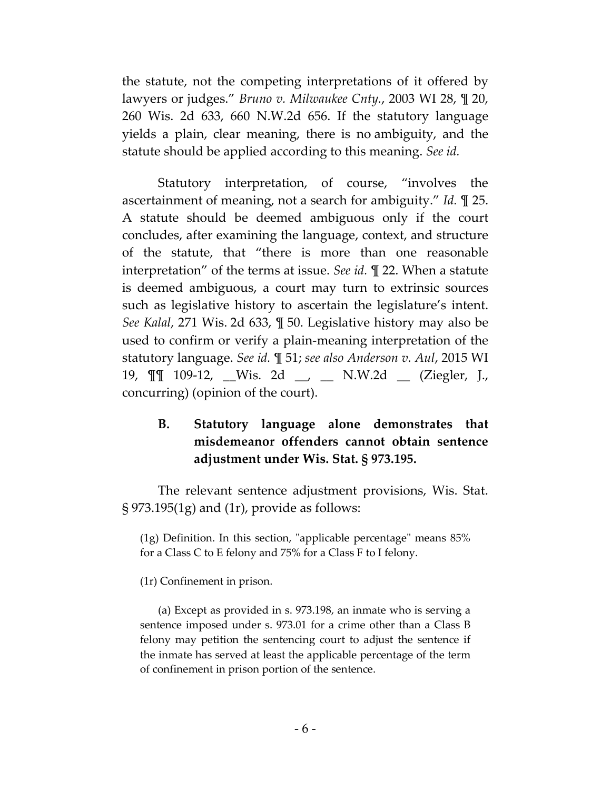the statute, not the competing interpretations of it offered by lawyers or judges." *Bruno v. Milwaukee Cnty.*, 2003 WI 28, ¶ 20, 260 Wis. 2d 633, 660 N.W.2d 656. If the statutory language yields a plain, clear meaning, there is no ambiguity, and the statute should be applied according to this meaning. *See id.*

Statutory interpretation, of course, "involves the ascertainment of meaning, not a search for ambiguity." *Id.* ¶ 25. A statute should be deemed ambiguous only if the court concludes, after examining the language, context, and structure of the statute, that "there is more than one reasonable interpretation" of the terms at issue. *See id.* ¶ 22. When a statute is deemed ambiguous, a court may turn to extrinsic sources such as legislative history to ascertain the legislature's intent. *See Kalal*, 271 Wis. 2d 633, ¶ 50. Legislative history may also be used to confirm or verify a plain-meaning interpretation of the statutory language. *See id.* ¶ 51; *see also Anderson v. Aul*, 2015 WI 19, ¶¶ 109-12, \_\_Wis. 2d \_\_, \_\_ N.W.2d \_\_ (Ziegler, J., concurring) (opinion of the court).

## **B. Statutory language alone demonstrates that misdemeanor offenders cannot obtain sentence adjustment under Wis. Stat. § 973.195.**

The relevant sentence adjustment provisions, Wis. Stat. § 973.195(1g) and (1r), provide as follows:

(1g) Definition. In this section, "applicable percentage" means 85% for a Class C to E felony and 75% for a Class F to I felony.

(1r) Confinement in prison.

(a) Except as provided in s. 973.198, an inmate who is serving a sentence imposed under s. 973.01 for a crime other than a Class B felony may petition the sentencing court to adjust the sentence if the inmate has served at least the applicable percentage of the term of confinement in prison portion of the sentence.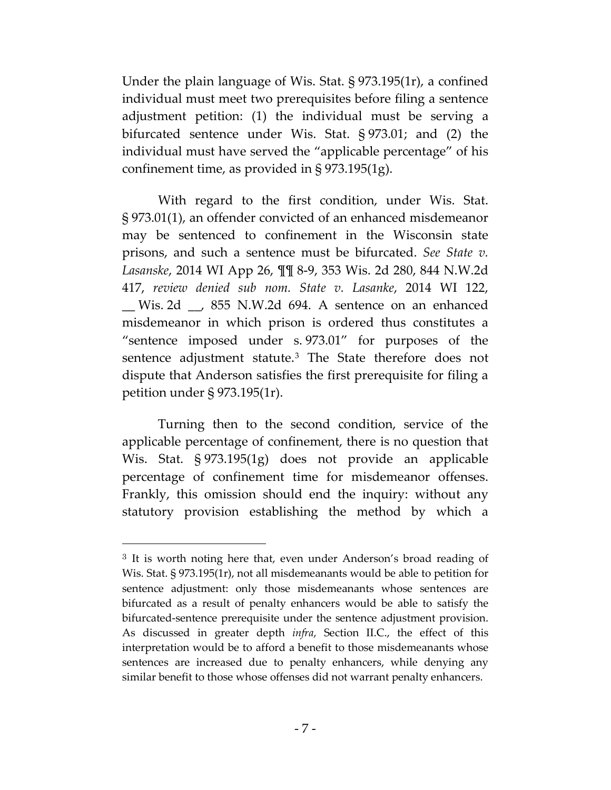Under the plain language of Wis. Stat. § 973.195(1r), a confined individual must meet two prerequisites before filing a sentence adjustment petition: (1) the individual must be serving a bifurcated sentence under Wis. Stat. § 973.01; and (2) the individual must have served the "applicable percentage" of his confinement time, as provided in § 973.195(1g).

With regard to the first condition, under Wis. Stat. § 973.01(1), an offender convicted of an enhanced misdemeanor may be sentenced to confinement in the Wisconsin state prisons, and such a sentence must be bifurcated. *See State v. Lasanske*, 2014 WI App 26, ¶¶ 8-9, 353 Wis. 2d 280, 844 N.W.2d 417, *review denied sub nom. State v. Lasanke*, 2014 WI 122, \_\_ Wis. 2d \_\_, 855 N.W.2d 694. A sentence on an enhanced misdemeanor in which prison is ordered thus constitutes a "sentence imposed under s. 973.01" for purposes of the sentence adjustment statute.<sup>[3](#page-13-0)</sup> The State therefore does not dispute that Anderson satisfies the first prerequisite for filing a petition under § 973.195(1r).

Turning then to the second condition, service of the applicable percentage of confinement, there is no question that Wis. Stat. § 973.195(1g) does not provide an applicable percentage of confinement time for misdemeanor offenses. Frankly, this omission should end the inquiry: without any statutory provision establishing the method by which a

 $\overline{a}$ 

<span id="page-13-0"></span><sup>&</sup>lt;sup>3</sup> It is worth noting here that, even under Anderson's broad reading of Wis. Stat. § 973.195(1r), not all misdemeanants would be able to petition for sentence adjustment: only those misdemeanants whose sentences are bifurcated as a result of penalty enhancers would be able to satisfy the bifurcated-sentence prerequisite under the sentence adjustment provision. As discussed in greater depth *infra*, Section II.C., the effect of this interpretation would be to afford a benefit to those misdemeanants whose sentences are increased due to penalty enhancers, while denying any similar benefit to those whose offenses did not warrant penalty enhancers.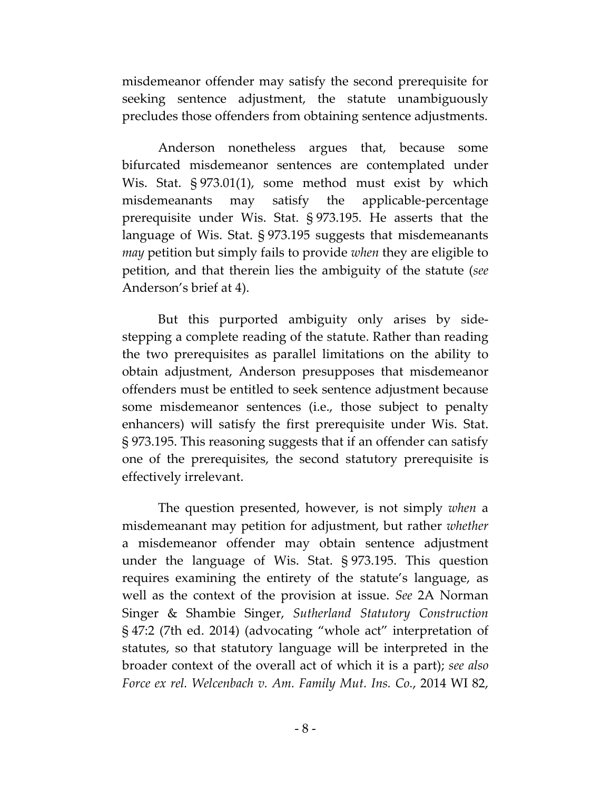misdemeanor offender may satisfy the second prerequisite for seeking sentence adjustment, the statute unambiguously precludes those offenders from obtaining sentence adjustments.

Anderson nonetheless argues that, because some bifurcated misdemeanor sentences are contemplated under Wis. Stat. § 973.01(1), some method must exist by which misdemeanants may satisfy the applicable-percentage prerequisite under Wis. Stat. § 973.195. He asserts that the language of Wis. Stat. § 973.195 suggests that misdemeanants *may* petition but simply fails to provide *when* they are eligible to petition, and that therein lies the ambiguity of the statute (*see* Anderson's brief at 4).

But this purported ambiguity only arises by sidestepping a complete reading of the statute. Rather than reading the two prerequisites as parallel limitations on the ability to obtain adjustment, Anderson presupposes that misdemeanor offenders must be entitled to seek sentence adjustment because some misdemeanor sentences (i.e., those subject to penalty enhancers) will satisfy the first prerequisite under Wis. Stat. § 973.195. This reasoning suggests that if an offender can satisfy one of the prerequisites, the second statutory prerequisite is effectively irrelevant.

The question presented, however, is not simply *when* a misdemeanant may petition for adjustment, but rather *whether* a misdemeanor offender may obtain sentence adjustment under the language of Wis. Stat. § 973.195. This question requires examining the entirety of the statute's language, as well as the context of the provision at issue. *See* 2A Norman Singer & Shambie Singer, *Sutherland Statutory Construction* § 47:2 (7th ed. 2014) (advocating "whole act" interpretation of statutes, so that statutory language will be interpreted in the broader context of the overall act of which it is a part); *see also Force ex rel. Welcenbach v. Am. Family Mut. Ins. Co.*, 2014 WI 82,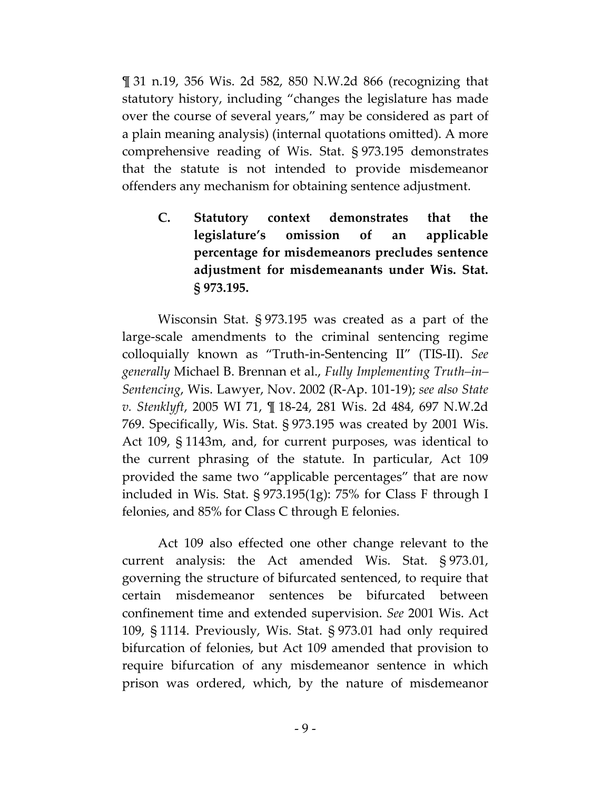¶ 31 n.19, 356 Wis. 2d 582, 850 N.W.2d 866 (recognizing that statutory history, including "changes the legislature has made over the course of several years," may be considered as part of a plain meaning analysis) (internal quotations omitted). A more comprehensive reading of Wis. Stat. § 973.195 demonstrates that the statute is not intended to provide misdemeanor offenders any mechanism for obtaining sentence adjustment.

**C. Statutory context demonstrates that the legislature's omission of an applicable percentage for misdemeanors precludes sentence adjustment for misdemeanants under Wis. Stat. § 973.195.**

Wisconsin Stat. § 973.195 was created as a part of the large-scale amendments to the criminal sentencing regime colloquially known as "Truth-in-Sentencing II" (TIS-II). *See generally* Michael B. Brennan et al., *Fully Implementing Truth–in– Sentencing*, Wis. Lawyer, Nov. 2002 (R-Ap. 101-19); *see also State v. Stenklyft*, 2005 WI 71, ¶ 18-24, 281 Wis. 2d 484, 697 N.W.2d 769. Specifically, Wis. Stat. § 973.195 was created by 2001 Wis. Act 109, § 1143m, and, for current purposes, was identical to the current phrasing of the statute. In particular, Act 109 provided the same two "applicable percentages" that are now included in Wis. Stat. § 973.195(1g): 75% for Class F through I felonies, and 85% for Class C through E felonies.

Act 109 also effected one other change relevant to the current analysis: the Act amended Wis. Stat. § 973.01, governing the structure of bifurcated sentenced, to require that certain misdemeanor sentences be bifurcated between confinement time and extended supervision. *See* 2001 Wis. Act 109, § 1114. Previously, Wis. Stat. § 973.01 had only required bifurcation of felonies, but Act 109 amended that provision to require bifurcation of any misdemeanor sentence in which prison was ordered, which, by the nature of misdemeanor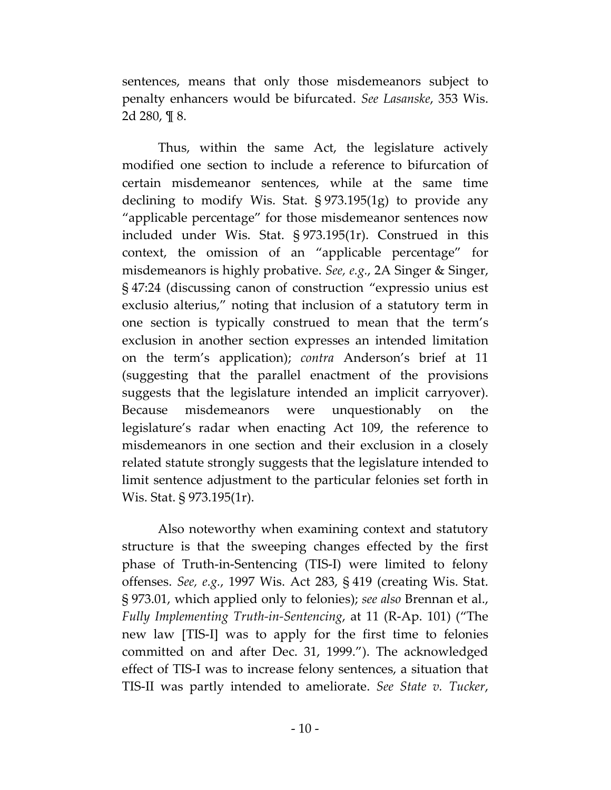sentences, means that only those misdemeanors subject to penalty enhancers would be bifurcated. *See Lasanske*, 353 Wis. 2d 280, ¶ 8.

Thus, within the same Act, the legislature actively modified one section to include a reference to bifurcation of certain misdemeanor sentences, while at the same time declining to modify Wis. Stat. § 973.195(1g) to provide any "applicable percentage" for those misdemeanor sentences now included under Wis. Stat. § 973.195(1r). Construed in this context, the omission of an "applicable percentage" for misdemeanors is highly probative. *See, e.g.*, 2A Singer & Singer, § 47:24 (discussing canon of construction "expressio unius est exclusio alterius," noting that inclusion of a statutory term in one section is typically construed to mean that the term's exclusion in another section expresses an intended limitation on the term's application); *contra* Anderson's brief at 11 (suggesting that the parallel enactment of the provisions suggests that the legislature intended an implicit carryover). Because misdemeanors were unquestionably on the legislature's radar when enacting Act 109, the reference to misdemeanors in one section and their exclusion in a closely related statute strongly suggests that the legislature intended to limit sentence adjustment to the particular felonies set forth in Wis. Stat. § 973.195(1r).

Also noteworthy when examining context and statutory structure is that the sweeping changes effected by the first phase of Truth-in-Sentencing (TIS-I) were limited to felony offenses. *See, e.g.*, 1997 Wis. Act 283, § 419 (creating Wis. Stat. § 973.01, which applied only to felonies); *see also* Brennan et al., *Fully Implementing Truth-in-Sentencing*, at 11 (R-Ap. 101) ("The new law [TIS-I] was to apply for the first time to felonies committed on and after Dec. 31, 1999."). The acknowledged effect of TIS-I was to increase felony sentences, a situation that TIS-II was partly intended to ameliorate. *See State v. Tucker*,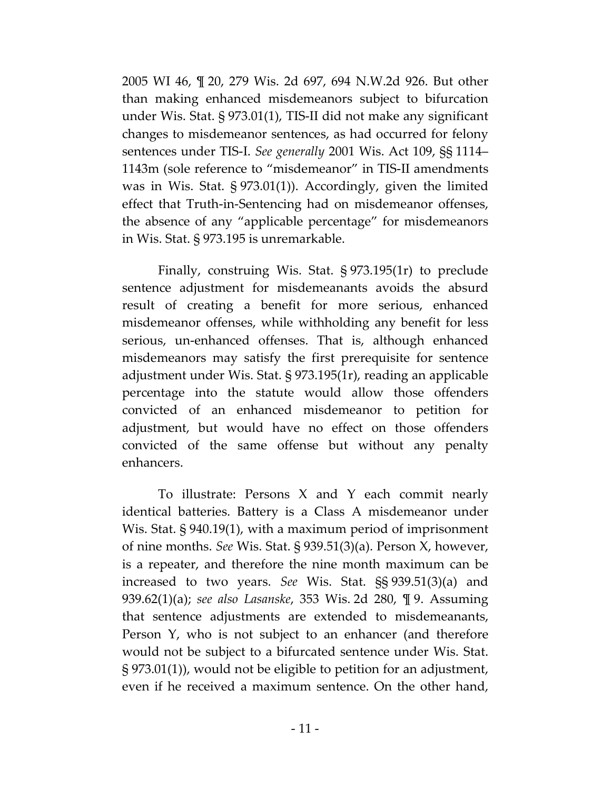2005 WI 46, ¶ 20, 279 Wis. 2d 697, 694 N.W.2d 926. But other than making enhanced misdemeanors subject to bifurcation under Wis. Stat. § 973.01(1), TIS-II did not make any significant changes to misdemeanor sentences, as had occurred for felony sentences under TIS-I. *See generally* 2001 Wis. Act 109, §§ 1114– 1143m (sole reference to "misdemeanor" in TIS-II amendments was in Wis. Stat. § 973.01(1)). Accordingly, given the limited effect that Truth-in-Sentencing had on misdemeanor offenses, the absence of any "applicable percentage" for misdemeanors in Wis. Stat. § 973.195 is unremarkable.

Finally, construing Wis. Stat. § 973.195(1r) to preclude sentence adjustment for misdemeanants avoids the absurd result of creating a benefit for more serious, enhanced misdemeanor offenses, while withholding any benefit for less serious, un-enhanced offenses. That is, although enhanced misdemeanors may satisfy the first prerequisite for sentence adjustment under Wis. Stat. § 973.195(1r), reading an applicable percentage into the statute would allow those offenders convicted of an enhanced misdemeanor to petition for adjustment, but would have no effect on those offenders convicted of the same offense but without any penalty enhancers.

To illustrate: Persons X and Y each commit nearly identical batteries. Battery is a Class A misdemeanor under Wis. Stat. § 940.19(1), with a maximum period of imprisonment of nine months. *See* Wis. Stat. § 939.51(3)(a). Person X, however, is a repeater, and therefore the nine month maximum can be increased to two years. *See* Wis. Stat. §§ 939.51(3)(a) and 939.62(1)(a); *see also Lasanske*, 353 Wis. 2d 280, ¶ 9. Assuming that sentence adjustments are extended to misdemeanants, Person Y, who is not subject to an enhancer (and therefore would not be subject to a bifurcated sentence under Wis. Stat. § 973.01(1)), would not be eligible to petition for an adjustment, even if he received a maximum sentence. On the other hand,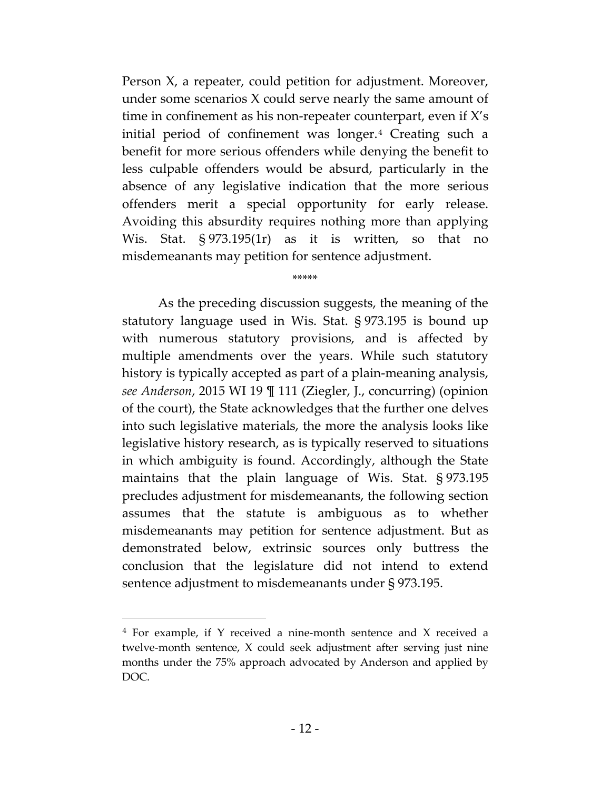Person X, a repeater, could petition for adjustment. Moreover, under some scenarios X could serve nearly the same amount of time in confinement as his non-repeater counterpart, even if X's initial period of confinement was longer.[4](#page-18-0) Creating such a benefit for more serious offenders while denying the benefit to less culpable offenders would be absurd, particularly in the absence of any legislative indication that the more serious offenders merit a special opportunity for early release. Avoiding this absurdity requires nothing more than applying Wis. Stat. § 973.195(1r) as it is written, so that no misdemeanants may petition for sentence adjustment.

\*\*\*\*\*

As the preceding discussion suggests, the meaning of the statutory language used in Wis. Stat. § 973.195 is bound up with numerous statutory provisions, and is affected by multiple amendments over the years. While such statutory history is typically accepted as part of a plain-meaning analysis, *see Anderson*, 2015 WI 19 ¶ 111 (Ziegler, J., concurring) (opinion of the court), the State acknowledges that the further one delves into such legislative materials, the more the analysis looks like legislative history research, as is typically reserved to situations in which ambiguity is found. Accordingly, although the State maintains that the plain language of Wis. Stat. § 973.195 precludes adjustment for misdemeanants, the following section assumes that the statute is ambiguous as to whether misdemeanants may petition for sentence adjustment. But as demonstrated below, extrinsic sources only buttress the conclusion that the legislature did not intend to extend sentence adjustment to misdemeanants under § 973.195.

 $\overline{a}$ 

<span id="page-18-0"></span><sup>4</sup> For example, if Y received a nine-month sentence and X received a twelve-month sentence, X could seek adjustment after serving just nine months under the 75% approach advocated by Anderson and applied by DOC.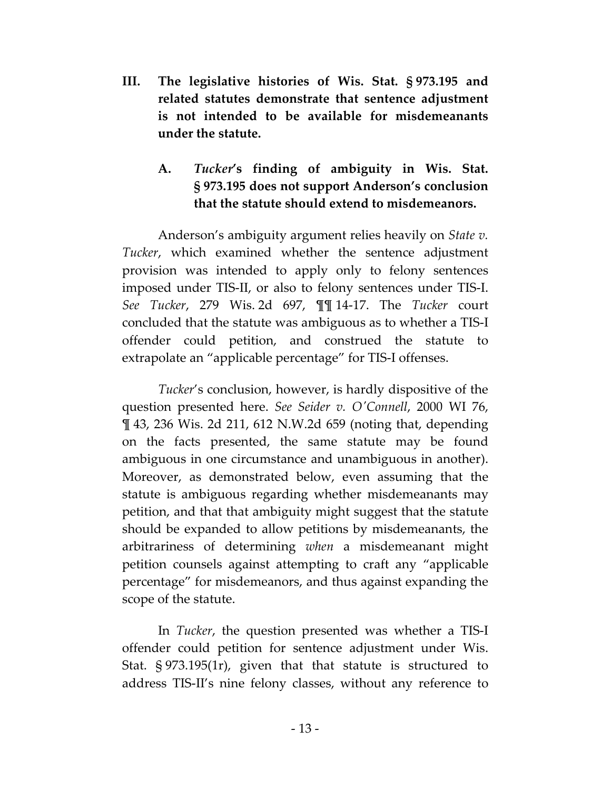**III. The legislative histories of Wis. Stat. § 973.195 and related statutes demonstrate that sentence adjustment is not intended to be available for misdemeanants under the statute.**

# **A.** *Tucker***'s finding of ambiguity in Wis. Stat. § 973.195 does not support Anderson's conclusion that the statute should extend to misdemeanors.**

Anderson's ambiguity argument relies heavily on *State v. Tucker*, which examined whether the sentence adjustment provision was intended to apply only to felony sentences imposed under TIS-II, or also to felony sentences under TIS-I. *See Tucker*, 279 Wis. 2d 697, ¶¶ 14-17. The *Tucker* court concluded that the statute was ambiguous as to whether a TIS-I offender could petition, and construed the statute to extrapolate an "applicable percentage" for TIS-I offenses.

*Tucker*'s conclusion, however, is hardly dispositive of the question presented here. *See Seider v. O'Connell*, 2000 WI 76, ¶ 43, 236 Wis. 2d 211, 612 N.W.2d 659 (noting that, depending on the facts presented, the same statute may be found ambiguous in one circumstance and unambiguous in another). Moreover, as demonstrated below, even assuming that the statute is ambiguous regarding whether misdemeanants may petition, and that that ambiguity might suggest that the statute should be expanded to allow petitions by misdemeanants, the arbitrariness of determining *when* a misdemeanant might petition counsels against attempting to craft any "applicable percentage" for misdemeanors, and thus against expanding the scope of the statute.

In *Tucker*, the question presented was whether a TIS-I offender could petition for sentence adjustment under Wis. Stat. § 973.195(1r), given that that statute is structured to address TIS-II's nine felony classes, without any reference to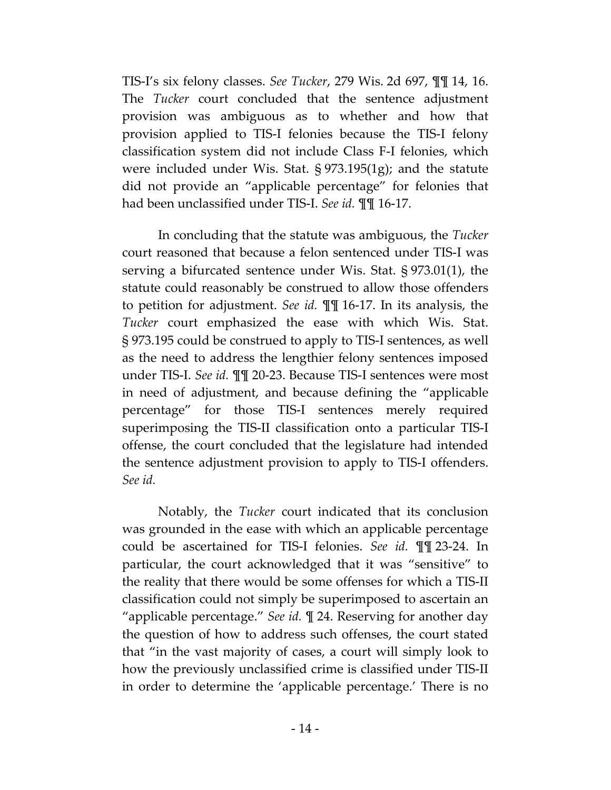TIS-I's six felony classes. *See Tucker*, 279 Wis. 2d 697, ¶¶ 14, 16. The *Tucker* court concluded that the sentence adjustment provision was ambiguous as to whether and how that provision applied to TIS-I felonies because the TIS-I felony classification system did not include Class F-I felonies, which were included under Wis. Stat. § 973.195(1g); and the statute did not provide an "applicable percentage" for felonies that had been unclassified under TIS-I. *See id.* ¶¶ 16-17.

In concluding that the statute was ambiguous, the *Tucker* court reasoned that because a felon sentenced under TIS-I was serving a bifurcated sentence under Wis. Stat. § 973.01(1), the statute could reasonably be construed to allow those offenders to petition for adjustment. *See id.* ¶¶ 16-17. In its analysis, the *Tucker* court emphasized the ease with which Wis. Stat. § 973.195 could be construed to apply to TIS-I sentences, as well as the need to address the lengthier felony sentences imposed under TIS-I. *See id.* ¶¶ 20-23. Because TIS-I sentences were most in need of adjustment, and because defining the "applicable percentage" for those TIS-I sentences merely required superimposing the TIS-II classification onto a particular TIS-I offense, the court concluded that the legislature had intended the sentence adjustment provision to apply to TIS-I offenders. *See id.*

Notably, the *Tucker* court indicated that its conclusion was grounded in the ease with which an applicable percentage could be ascertained for TIS-I felonies. *See id.* ¶¶ 23-24. In particular, the court acknowledged that it was "sensitive" to the reality that there would be some offenses for which a TIS-II classification could not simply be superimposed to ascertain an "applicable percentage." *See id.* ¶ 24. Reserving for another day the question of how to address such offenses, the court stated that "in the vast majority of cases, a court will simply look to how the previously unclassified crime is classified under TIS-II in order to determine the 'applicable percentage.' There is no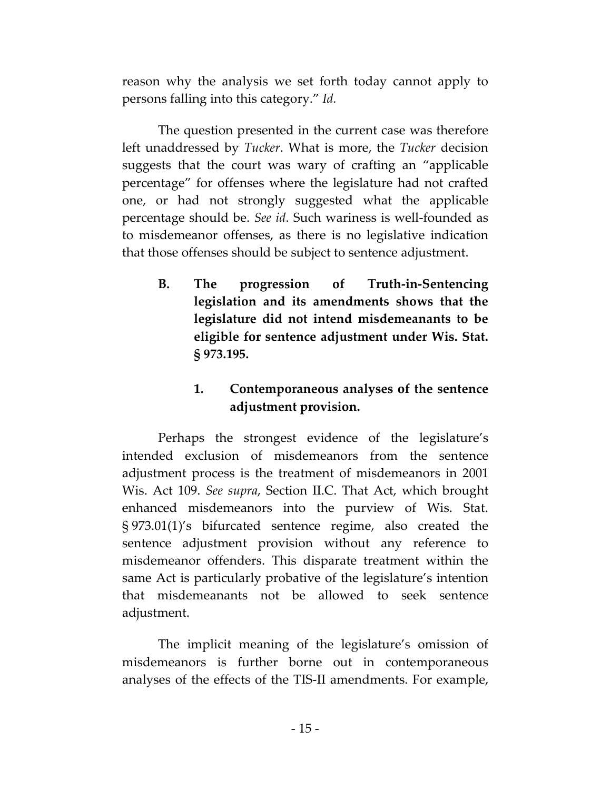reason why the analysis we set forth today cannot apply to persons falling into this category." *Id.*

The question presented in the current case was therefore left unaddressed by *Tucker*. What is more, the *Tucker* decision suggests that the court was wary of crafting an "applicable percentage" for offenses where the legislature had not crafted one, or had not strongly suggested what the applicable percentage should be. *See id*. Such wariness is well-founded as to misdemeanor offenses, as there is no legislative indication that those offenses should be subject to sentence adjustment.

**B. The progression of Truth-in-Sentencing legislation and its amendments shows that the legislature did not intend misdemeanants to be eligible for sentence adjustment under Wis. Stat. § 973.195.**

# **1. Contemporaneous analyses of the sentence adjustment provision.**

Perhaps the strongest evidence of the legislature's intended exclusion of misdemeanors from the sentence adjustment process is the treatment of misdemeanors in 2001 Wis. Act 109. *See supra*, Section II.C. That Act, which brought enhanced misdemeanors into the purview of Wis. Stat. § 973.01(1)'s bifurcated sentence regime, also created the sentence adjustment provision without any reference to misdemeanor offenders. This disparate treatment within the same Act is particularly probative of the legislature's intention that misdemeanants not be allowed to seek sentence adjustment.

The implicit meaning of the legislature's omission of misdemeanors is further borne out in contemporaneous analyses of the effects of the TIS-II amendments. For example,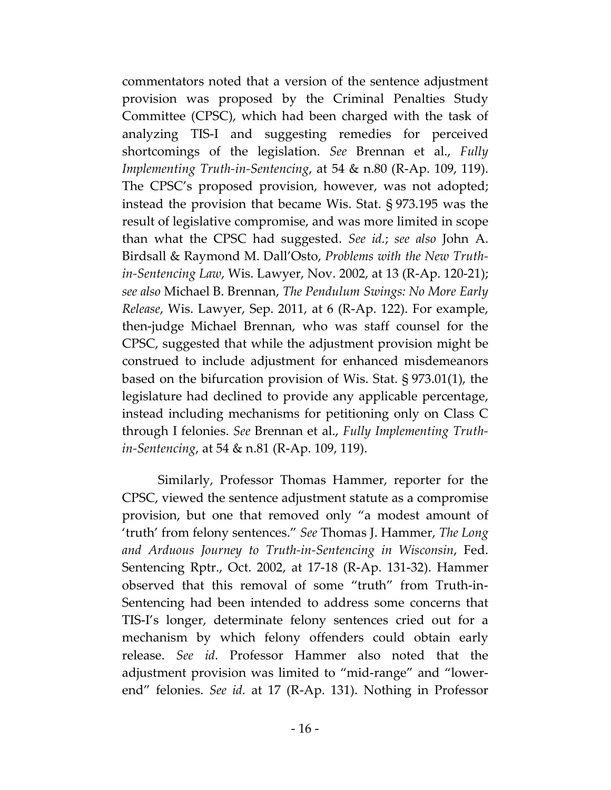commentators noted that a version of the sentence adjustment provision was proposed by the Criminal Penalties Study Committee (CPSC), which had been charged with the task of analyzing TIS-I and suggesting remedies for perceived shortcomings of the legislation. *See* Brennan et al., *Fully Implementing Truth-in-Sentencing*, at 54 & n.80 (R-Ap. 109, 119). The CPSC's proposed provision, however, was not adopted; instead the provision that became Wis. Stat. § 973.195 was the result of legislative compromise, and was more limited in scope than what the CPSC had suggested. *See id.*; *see also* John A. Birdsall & Raymond M. Dall'Osto, *Problems with the New Truthin-Sentencing Law*, Wis. Lawyer, Nov. 2002, at 13 (R-Ap. 120-21); *see also* Michael B. Brennan, *The Pendulum Swings: No More Early Release*, Wis. Lawyer, Sep. 2011, at 6 (R-Ap. 122). For example, then-judge Michael Brennan, who was staff counsel for the CPSC, suggested that while the adjustment provision might be construed to include adjustment for enhanced misdemeanors based on the bifurcation provision of Wis. Stat. § 973.01(1), the legislature had declined to provide any applicable percentage, instead including mechanisms for petitioning only on Class C through I felonies. *See* Brennan et al., *Fully Implementing Truthin-Sentencing*, at 54 & n.81 (R-Ap. 109, 119).

Similarly, Professor Thomas Hammer, reporter for the CPSC, viewed the sentence adjustment statute as a compromise provision, but one that removed only "a modest amount of 'truth' from felony sentences." *See* Thomas J. Hammer, *The Long and Arduous Journey to Truth-in-Sentencing in Wisconsin*, Fed. Sentencing Rptr., Oct. 2002, at 17-18 (R-Ap. 131-32). Hammer observed that this removal of some "truth" from Truth-in-Sentencing had been intended to address some concerns that TIS-I's longer, determinate felony sentences cried out for a mechanism by which felony offenders could obtain early release. *See id*. Professor Hammer also noted that the adjustment provision was limited to "mid-range" and "lowerend" felonies. *See id.* at 17 (R-Ap. 131). Nothing in Professor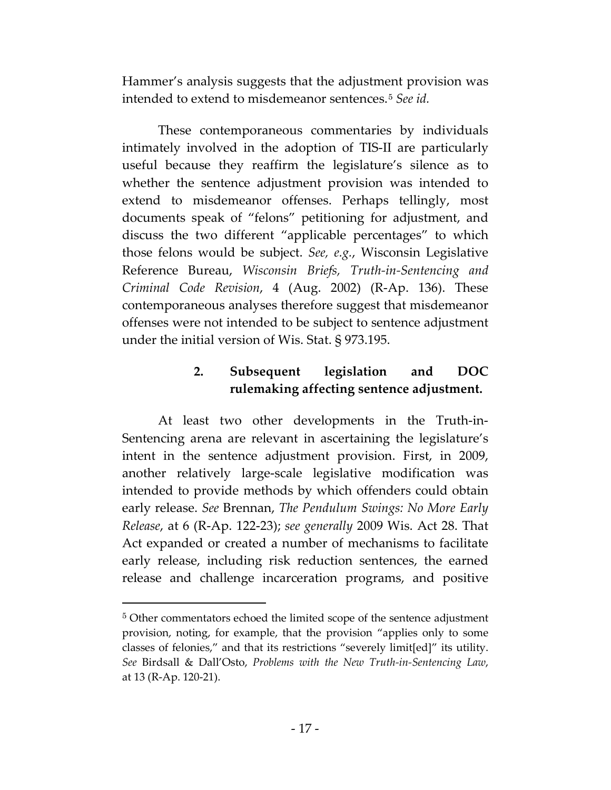Hammer's analysis suggests that the adjustment provision was intended to extend to misdemeanor sentences.[5](#page-23-0) *See id.*

These contemporaneous commentaries by individuals intimately involved in the adoption of TIS-II are particularly useful because they reaffirm the legislature's silence as to whether the sentence adjustment provision was intended to extend to misdemeanor offenses. Perhaps tellingly, most documents speak of "felons" petitioning for adjustment, and discuss the two different "applicable percentages" to which those felons would be subject. *See, e.g.*, Wisconsin Legislative Reference Bureau, *Wisconsin Briefs, Truth-in-Sentencing and Criminal Code Revision*, 4 (Aug. 2002) (R-Ap. 136). These contemporaneous analyses therefore suggest that misdemeanor offenses were not intended to be subject to sentence adjustment under the initial version of Wis. Stat. § 973.195.

# **2. Subsequent legislation and DOC rulemaking affecting sentence adjustment.**

At least two other developments in the Truth-in-Sentencing arena are relevant in ascertaining the legislature's intent in the sentence adjustment provision. First, in 2009, another relatively large-scale legislative modification was intended to provide methods by which offenders could obtain early release. *See* Brennan, *The Pendulum Swings: No More Early Release*, at 6 (R-Ap. 122-23); *see generally* 2009 Wis. Act 28. That Act expanded or created a number of mechanisms to facilitate early release, including risk reduction sentences, the earned release and challenge incarceration programs, and positive

 $\overline{a}$ 

<span id="page-23-0"></span><sup>5</sup> Other commentators echoed the limited scope of the sentence adjustment provision, noting, for example, that the provision "applies only to some classes of felonies," and that its restrictions "severely limit[ed]" its utility. *See* Birdsall & Dall'Osto, *Problems with the New Truth-in-Sentencing Law*, at 13 (R-Ap. 120-21).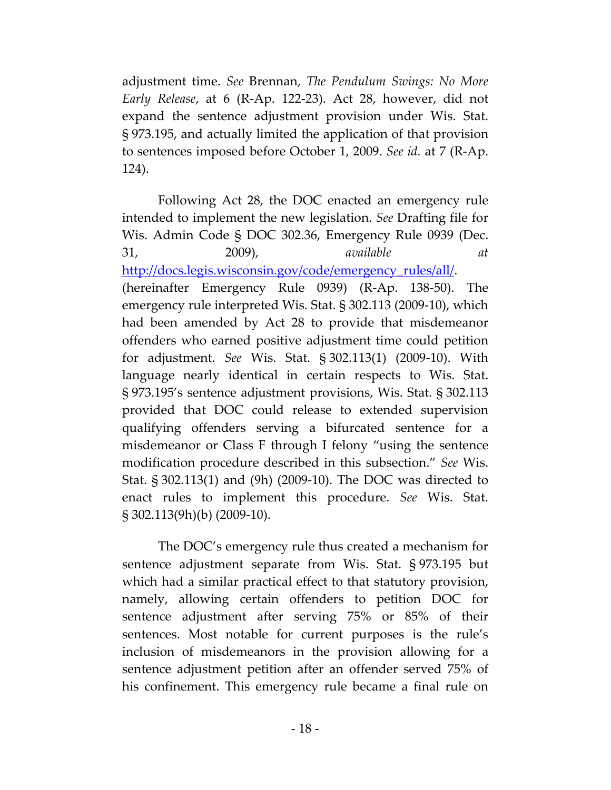adjustment time. *See* Brennan, *The Pendulum Swings: No More Early Release*, at 6 (R-Ap. 122-23). Act 28, however, did not expand the sentence adjustment provision under Wis. Stat. § 973.195, and actually limited the application of that provision to sentences imposed before October 1, 2009. *See id.* at 7 (R-Ap. 124).

Following Act 28, the DOC enacted an emergency rule intended to implement the new legislation. *See* Drafting file for Wis. Admin Code § DOC 302.36, Emergency Rule 0939 (Dec. 31, 2009), *available at* [http://docs.legis.wisconsin.gov/code/emergency\\_rules/all/.](http://docs.legis.wisconsin.gov/code/emergency_rules/all/emr0939) (hereinafter Emergency Rule 0939) (R-Ap. 138-50). The emergency rule interpreted Wis. Stat. § 302.113 (2009-10), which had been amended by Act 28 to provide that misdemeanor offenders who earned positive adjustment time could petition for adjustment. *See* Wis. Stat. § 302.113(1) (2009-10). With language nearly identical in certain respects to Wis. Stat. § 973.195's sentence adjustment provisions, Wis. Stat. § 302.113 provided that DOC could release to extended supervision qualifying offenders serving a bifurcated sentence for a misdemeanor or Class F through I felony "using the sentence modification procedure described in this subsection." *See* Wis. Stat. § 302.113(1) and (9h) (2009-10). The DOC was directed to enact rules to implement this procedure. *See* Wis. Stat. § 302.113(9h)(b) (2009-10).

The DOC's emergency rule thus created a mechanism for sentence adjustment separate from Wis. Stat. § 973.195 but which had a similar practical effect to that statutory provision, namely, allowing certain offenders to petition DOC for sentence adjustment after serving 75% or 85% of their sentences. Most notable for current purposes is the rule's inclusion of misdemeanors in the provision allowing for a sentence adjustment petition after an offender served 75% of his confinement. This emergency rule became a final rule on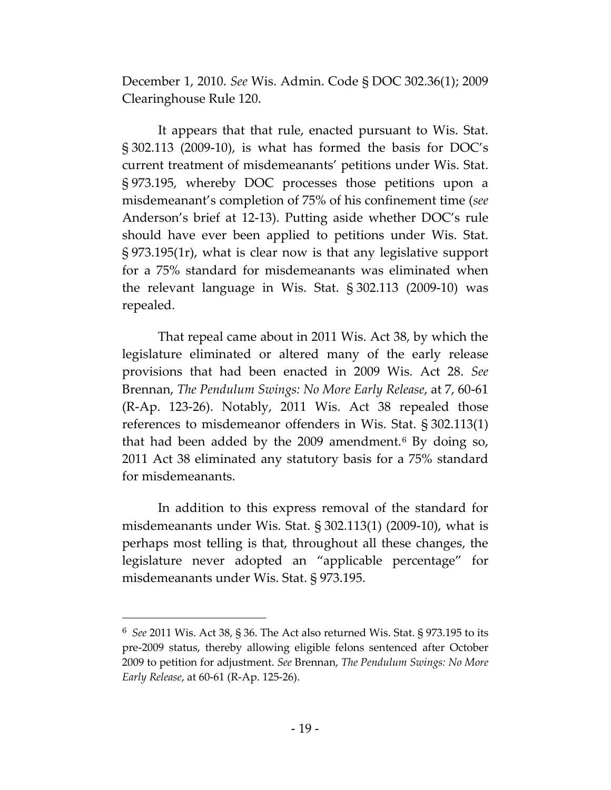December 1, 2010. *See* Wis. Admin. Code § DOC 302.36(1); 2009 Clearinghouse Rule 120.

It appears that that rule, enacted pursuant to Wis. Stat. § 302.113 (2009-10), is what has formed the basis for DOC's current treatment of misdemeanants' petitions under Wis. Stat. § 973.195, whereby DOC processes those petitions upon a misdemeanant's completion of 75% of his confinement time (*see* Anderson's brief at 12-13). Putting aside whether DOC's rule should have ever been applied to petitions under Wis. Stat. § 973.195(1r), what is clear now is that any legislative support for a 75% standard for misdemeanants was eliminated when the relevant language in Wis. Stat. § 302.113 (2009-10) was repealed.

That repeal came about in 2011 Wis. Act 38, by which the legislature eliminated or altered many of the early release provisions that had been enacted in 2009 Wis. Act 28. *See* Brennan, *The Pendulum Swings: No More Early Release*, at 7, 60-61 (R-Ap. 123-26). Notably, 2011 Wis. Act 38 repealed those references to misdemeanor offenders in Wis. Stat. § 302.113(1) that had been added by the 2009 amendment.[6](#page-25-0) By doing so, 2011 Act 38 eliminated any statutory basis for a 75% standard for misdemeanants.

In addition to this express removal of the standard for misdemeanants under Wis. Stat. § 302.113(1) (2009-10), what is perhaps most telling is that, throughout all these changes, the legislature never adopted an "applicable percentage" for misdemeanants under Wis. Stat. § 973.195.

 $\overline{a}$ 

<span id="page-25-0"></span><sup>6</sup> *See* 2011 Wis. Act 38, § 36. The Act also returned Wis. Stat. § 973.195 to its pre-2009 status, thereby allowing eligible felons sentenced after October 2009 to petition for adjustment. *See* Brennan, *The Pendulum Swings: No More Early Release*, at 60-61 (R-Ap. 125-26).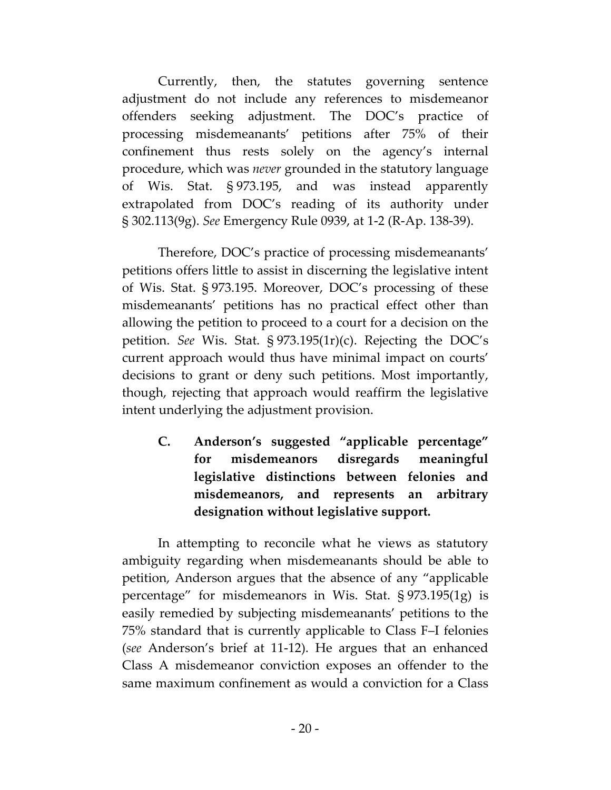Currently, then, the statutes governing sentence adjustment do not include any references to misdemeanor offenders seeking adjustment. The DOC's practice of processing misdemeanants' petitions after 75% of their confinement thus rests solely on the agency's internal procedure, which was *never* grounded in the statutory language of Wis. Stat. § 973.195, and was instead apparently extrapolated from DOC's reading of its authority under § 302.113(9g). *See* Emergency Rule 0939, at 1-2 (R-Ap. 138-39).

Therefore, DOC's practice of processing misdemeanants' petitions offers little to assist in discerning the legislative intent of Wis. Stat. § 973.195. Moreover, DOC's processing of these misdemeanants' petitions has no practical effect other than allowing the petition to proceed to a court for a decision on the petition. *See* Wis. Stat. § 973.195(1r)(c). Rejecting the DOC's current approach would thus have minimal impact on courts' decisions to grant or deny such petitions. Most importantly, though, rejecting that approach would reaffirm the legislative intent underlying the adjustment provision.

**C. Anderson's suggested "applicable percentage" for misdemeanors disregards meaningful legislative distinctions between felonies and misdemeanors, and represents an arbitrary designation without legislative support.**

In attempting to reconcile what he views as statutory ambiguity regarding when misdemeanants should be able to petition, Anderson argues that the absence of any "applicable percentage" for misdemeanors in Wis. Stat. § 973.195(1g) is easily remedied by subjecting misdemeanants' petitions to the 75% standard that is currently applicable to Class F–I felonies (*see* Anderson's brief at 11-12). He argues that an enhanced Class A misdemeanor conviction exposes an offender to the same maximum confinement as would a conviction for a Class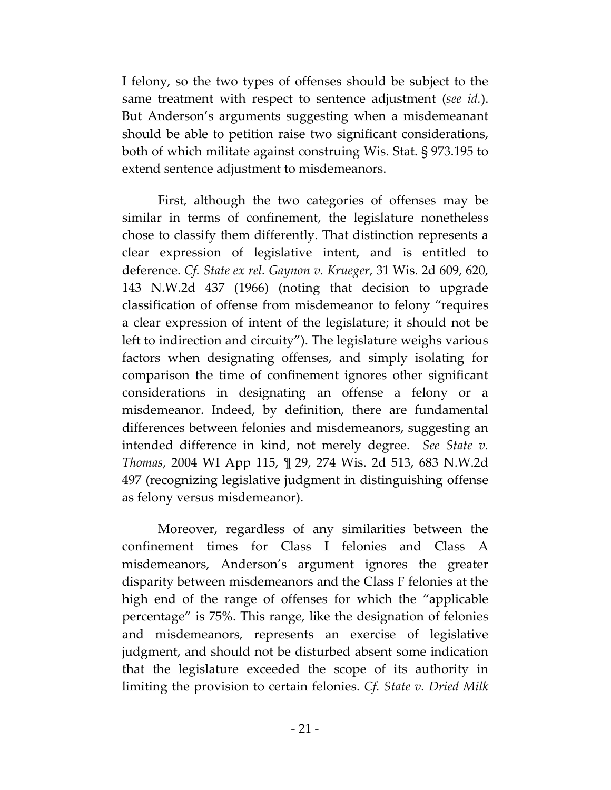I felony, so the two types of offenses should be subject to the same treatment with respect to sentence adjustment (*see id.*). But Anderson's arguments suggesting when a misdemeanant should be able to petition raise two significant considerations, both of which militate against construing Wis. Stat. § 973.195 to extend sentence adjustment to misdemeanors.

First, although the two categories of offenses may be similar in terms of confinement, the legislature nonetheless chose to classify them differently. That distinction represents a clear expression of legislative intent, and is entitled to deference. *Cf. State ex rel. Gaynon v. Krueger*, 31 Wis. 2d 609, 620, 143 N.W.2d 437 (1966) (noting that decision to upgrade classification of offense from misdemeanor to felony "requires a clear expression of intent of the legislature; it should not be left to indirection and circuity"). The legislature weighs various factors when designating offenses, and simply isolating for comparison the time of confinement ignores other significant considerations in designating an offense a felony or a misdemeanor. Indeed, by definition, there are fundamental differences between felonies and misdemeanors, suggesting an intended difference in kind, not merely degree. *See State v. Thomas*, 2004 WI App 115, ¶ 29, 274 Wis. 2d 513, 683 N.W.2d 497 (recognizing legislative judgment in distinguishing offense as felony versus misdemeanor).

Moreover, regardless of any similarities between the confinement times for Class I felonies and Class A misdemeanors, Anderson's argument ignores the greater disparity between misdemeanors and the Class F felonies at the high end of the range of offenses for which the "applicable percentage" is 75%. This range, like the designation of felonies and misdemeanors, represents an exercise of legislative judgment, and should not be disturbed absent some indication that the legislature exceeded the scope of its authority in limiting the provision to certain felonies. *Cf. State v. Dried Milk*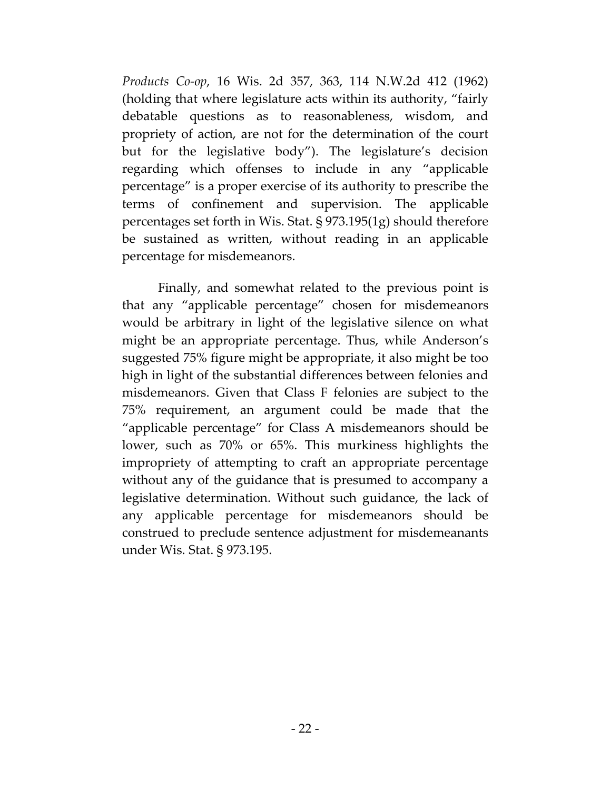*Products Co-op*, 16 Wis. 2d 357, 363, 114 N.W.2d 412 (1962) (holding that where legislature acts within its authority, "fairly debatable questions as to reasonableness, wisdom, and propriety of action, are not for the determination of the court but for the legislative body"). The legislature's decision regarding which offenses to include in any "applicable percentage" is a proper exercise of its authority to prescribe the terms of confinement and supervision. The applicable percentages set forth in Wis. Stat. § 973.195(1g) should therefore be sustained as written, without reading in an applicable percentage for misdemeanors.

Finally, and somewhat related to the previous point is that any "applicable percentage" chosen for misdemeanors would be arbitrary in light of the legislative silence on what might be an appropriate percentage. Thus, while Anderson's suggested 75% figure might be appropriate, it also might be too high in light of the substantial differences between felonies and misdemeanors. Given that Class F felonies are subject to the 75% requirement, an argument could be made that the "applicable percentage" for Class A misdemeanors should be lower, such as 70% or 65%. This murkiness highlights the impropriety of attempting to craft an appropriate percentage without any of the guidance that is presumed to accompany a legislative determination. Without such guidance, the lack of any applicable percentage for misdemeanors should be construed to preclude sentence adjustment for misdemeanants under Wis. Stat. § 973.195.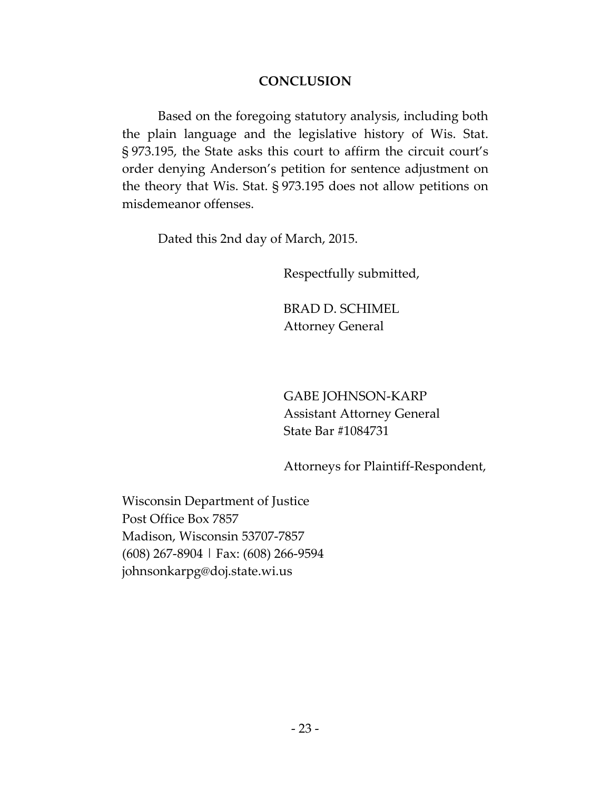### **CONCLUSION**

Based on the foregoing statutory analysis, including both the plain language and the legislative history of Wis. Stat. § 973.195, the State asks this court to affirm the circuit court's order denying Anderson's petition for sentence adjustment on the theory that Wis. Stat. § 973.195 does not allow petitions on misdemeanor offenses.

Dated this 2nd day of March, 2015.

Respectfully submitted,

BRAD D. SCHIMEL Attorney General

GABE JOHNSON-KARP Assistant Attorney General State Bar #1084731

Attorneys for Plaintiff-Respondent,

Wisconsin Department of Justice Post Office Box 7857 Madison, Wisconsin 53707-7857 (608) 267-8904 | Fax: (608) 266-9594 johnsonkarpg@doj.state.wi.us